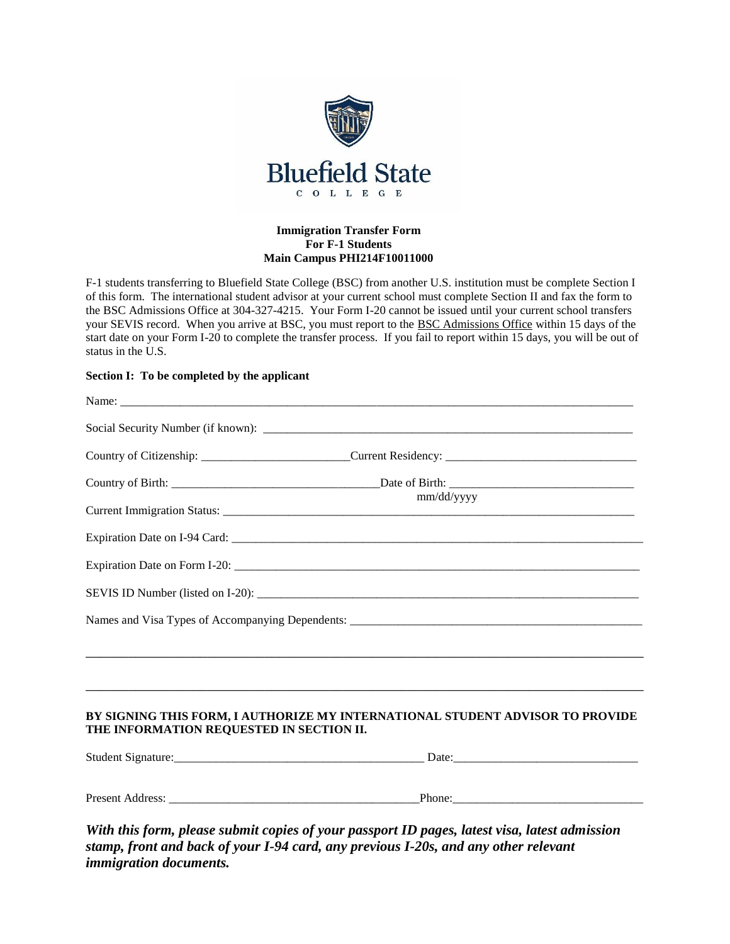

## **Immigration Transfer Form For F-1 Students Main Campus PHI214F10011000**

F-1 students transferring to Bluefield State College (BSC) from another U.S. institution must be complete Section I of this form. The international student advisor at your current school must complete Section II and fax the form to the BSC Admissions Office at 304-327-4215. Your Form I-20 cannot be issued until your current school transfers your SEVIS record. When you arrive at BSC, you must report to the BSC Admissions Office within 15 days of the start date on your Form I-20 to complete the transfer process. If you fail to report within 15 days, you will be out of status in the U.S.

## **Section I: To be completed by the applicant**

|                                          | Country of Citizenship: ___________________________Current Residency: ______________________________                                                                 |
|------------------------------------------|----------------------------------------------------------------------------------------------------------------------------------------------------------------------|
|                                          |                                                                                                                                                                      |
|                                          | mm/dd/yyyy                                                                                                                                                           |
|                                          |                                                                                                                                                                      |
|                                          |                                                                                                                                                                      |
|                                          |                                                                                                                                                                      |
|                                          |                                                                                                                                                                      |
|                                          | ,我们也不能在这里的时候,我们也不能在这里的时候,我们也不能会在这里的时候,我们也不能会在这里的时候,我们也不能会在这里的时候,我们也不能会在这里的时候,我们也<br>,我们也不能会在这里,我们的人们就会不能会在这里,我们也不能会不能会不能会不能会不能会不能会不能会不能会。""我们的人们就会不能会不能会不能会不能会不能会不能会 |
| THE INFORMATION REQUESTED IN SECTION II. | BY SIGNING THIS FORM, I AUTHORIZE MY INTERNATIONAL STUDENT ADVISOR TO PROVIDE                                                                                        |
|                                          |                                                                                                                                                                      |
|                                          |                                                                                                                                                                      |
|                                          | With this form, please submit copies of your passport ID pages, latest visa, latest admission                                                                        |

*stamp, front and back of your I-94 card, any previous I-20s, and any other relevant immigration documents.*